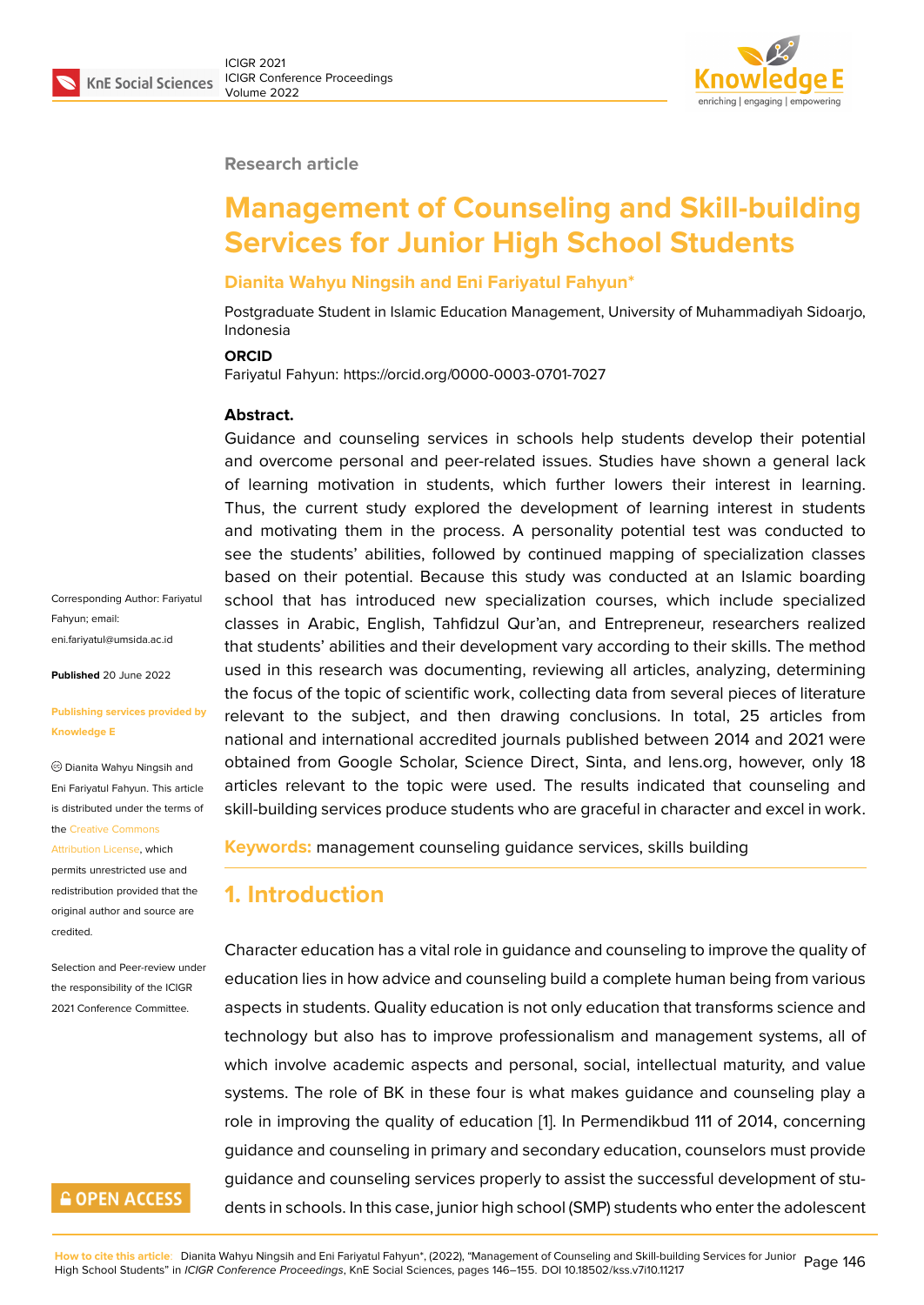#### **Research article**

# **Management of Counseling and Skill-building Services for Junior High School Students**

### **Dianita Wahyu Ningsih and Eni Fariyatul Fahyun\***

Postgraduate Student in Islamic Education Management, University of Muhammadiyah Sidoarjo, Indonesia

#### **ORCID**

Fariyatul Fahyun: https://orcid.org/0000-0003-0701-7027

#### **Abstract.**

Guidance and counseling services in schools help students develop their potential and overcome personal and peer-related issues. Studies have shown a general lack of learning motivation in students, which further lowers their interest in learning. Thus, the current study explored the development of learning interest in students and motivating them in the process. A personality potential test was conducted to see the students' abilities, followed by continued mapping of specialization classes based on their potential. Because this study was conducted at an Islamic boarding school that has introduced new specialization courses, which include specialized classes in Arabic, English, Tahfidzul Qur'an, and Entrepreneur, researchers realized that students' abilities and their development vary according to their skills. The method used in this research was documenting, reviewing all articles, analyzing, determining the focus of the topic of scientific work, collecting data from several pieces of literature relevant to the subject, and then drawing conclusions. In total, 25 articles from national and international accredited journals published between 2014 and 2021 were obtained from Google Scholar, Science Direct, Sinta, and lens.org, however, only 18 articles relevant to the topic were used. The results indicated that counseling and skill-building services produce students who are graceful in character and excel in work.

**Keywords:** management counseling guidance services, skills building

### **1. Introduction**

Character education has a vital role in guidance and counseling to improve the quality of education lies in how advice and counseling build a complete human being from various aspects in students. Quality education is not only education that transforms science and technology but also has to improve professionalism and management systems, all of which involve academic aspects and personal, social, intellectual maturity, and value systems. The role of BK in these four is what makes guidance and counseling play a role in improving the quality of education [1]. In Permendikbud 111 of 2014, concerning guidance and counseling in primary and secondary education, counselors must provide guidance and counseling services properly to assist the successful development of students in schools. In this case, junior high sch[o](#page-7-0)ol (SMP) students who enter the adolescent

Corresponding Author: Fariyatul Fahyun; email: eni.fariyatul@umsida.ac.id

**Published** 20 June 2022

#### **[Publishing services provi](mailto:eni.fariyatul@umsida.ac.id)ded by Knowledge E**

Dianita Wahyu Ningsih and Eni Fariyatul Fahyun. This article is distributed under the terms of the Creative Commons

Attribution License, which permits unrestricted use and redistribution provided that the orig[inal author and sou](https://creativecommons.org/licenses/by/4.0/)rce are [credited.](https://creativecommons.org/licenses/by/4.0/)

Selection and Peer-review under the responsibility of the ICIGR 2021 Conference Committee.

### **GOPEN ACCESS**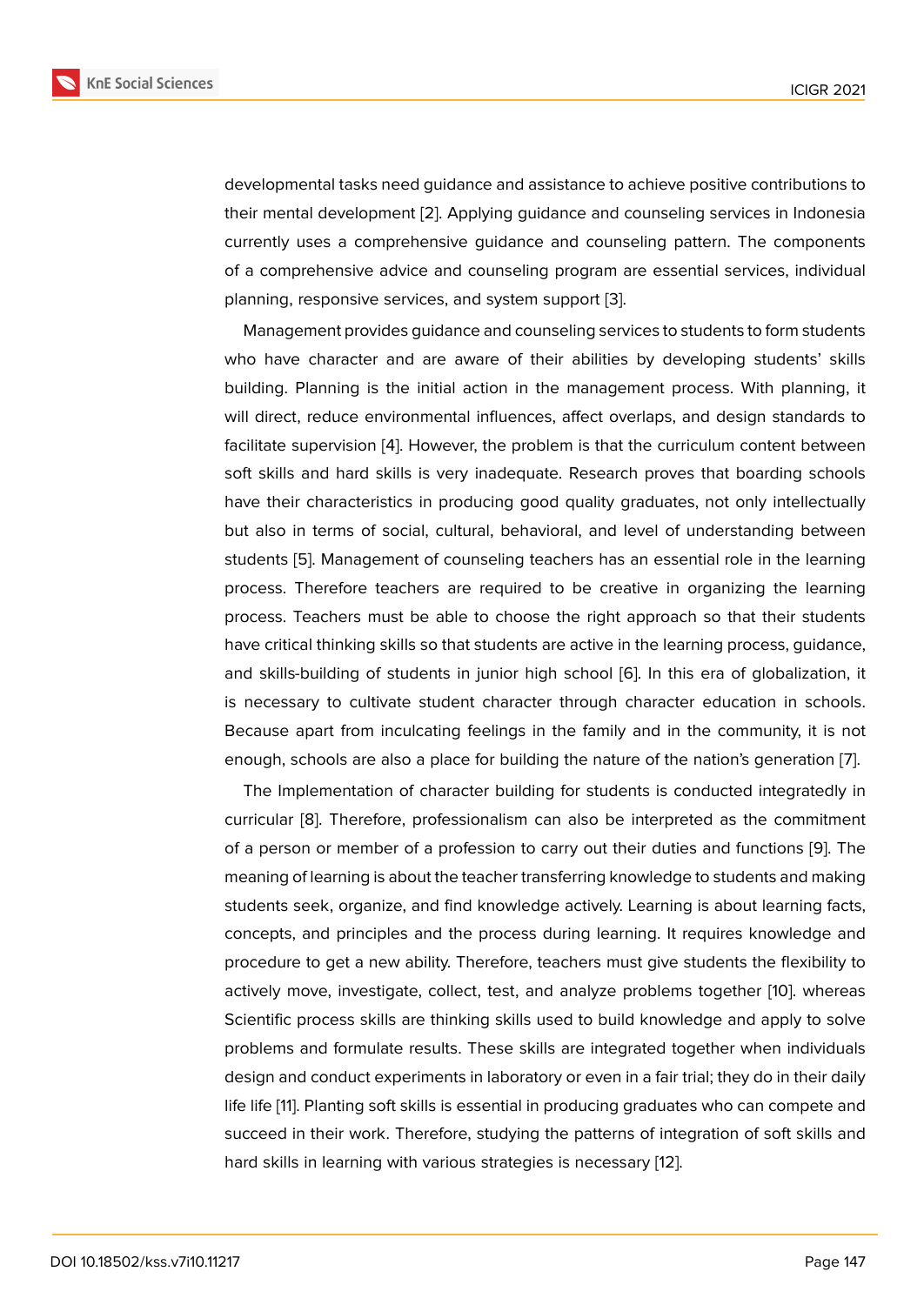developmental tasks need guidance and assistance to achieve positive contributions to their mental development [2]. Applying guidance and counseling services in Indonesia currently uses a comprehensive guidance and counseling pattern. The components of a comprehensive advice and counseling program are essential services, individual planning, responsive servi[ce](#page-7-1)s, and system support [3].

Management provides guidance and counseling services to students to form students who have character and are aware of their abilities by developing students' skills building. Planning is the initial action in the mana[ge](#page-7-2)ment process. With planning, it will direct, reduce environmental influences, affect overlaps, and design standards to facilitate supervision [4]. However, the problem is that the curriculum content between soft skills and hard skills is very inadequate. Research proves that boarding schools have their characteristics in producing good quality graduates, not only intellectually but also in terms of [so](#page-8-0)cial, cultural, behavioral, and level of understanding between students [5]. Management of counseling teachers has an essential role in the learning process. Therefore teachers are required to be creative in organizing the learning process. Teachers must be able to choose the right approach so that their students have criti[ca](#page-8-1)l thinking skills so that students are active in the learning process, guidance, and skills-building of students in junior high school [6]. In this era of globalization, it is necessary to cultivate student character through character education in schools. Because apart from inculcating feelings in the family and in the community, it is not enough, schools are also a place for building the nat[ure](#page-8-2) of the nation's generation [7].

The Implementation of character building for students is conducted integratedly in curricular [8]. Therefore, professionalism can also be interpreted as the commitment of a person or member of a profession to carry out their duties and functions [9]. [Th](#page-8-3)e meaning of learning is about the teacher transferring knowledge to students and making students s[ee](#page-8-4)k, organize, and find knowledge actively. Learning is about learning facts, concepts, and principles and the process during learning. It requires knowled[ge](#page-8-5) and procedure to get a new ability. Therefore, teachers must give students the flexibility to actively move, investigate, collect, test, and analyze problems together [10]. whereas Scientific process skills are thinking skills used to build knowledge and apply to solve problems and formulate results. These skills are integrated together when individuals design and conduct experiments in laboratory or even in a fair trial; they d[o in](#page-8-6) their daily life life [11]. Planting soft skills is essential in producing graduates who can compete and succeed in their work. Therefore, studying the patterns of integration of soft skills and hard skills in learning with various strategies is necessary [12].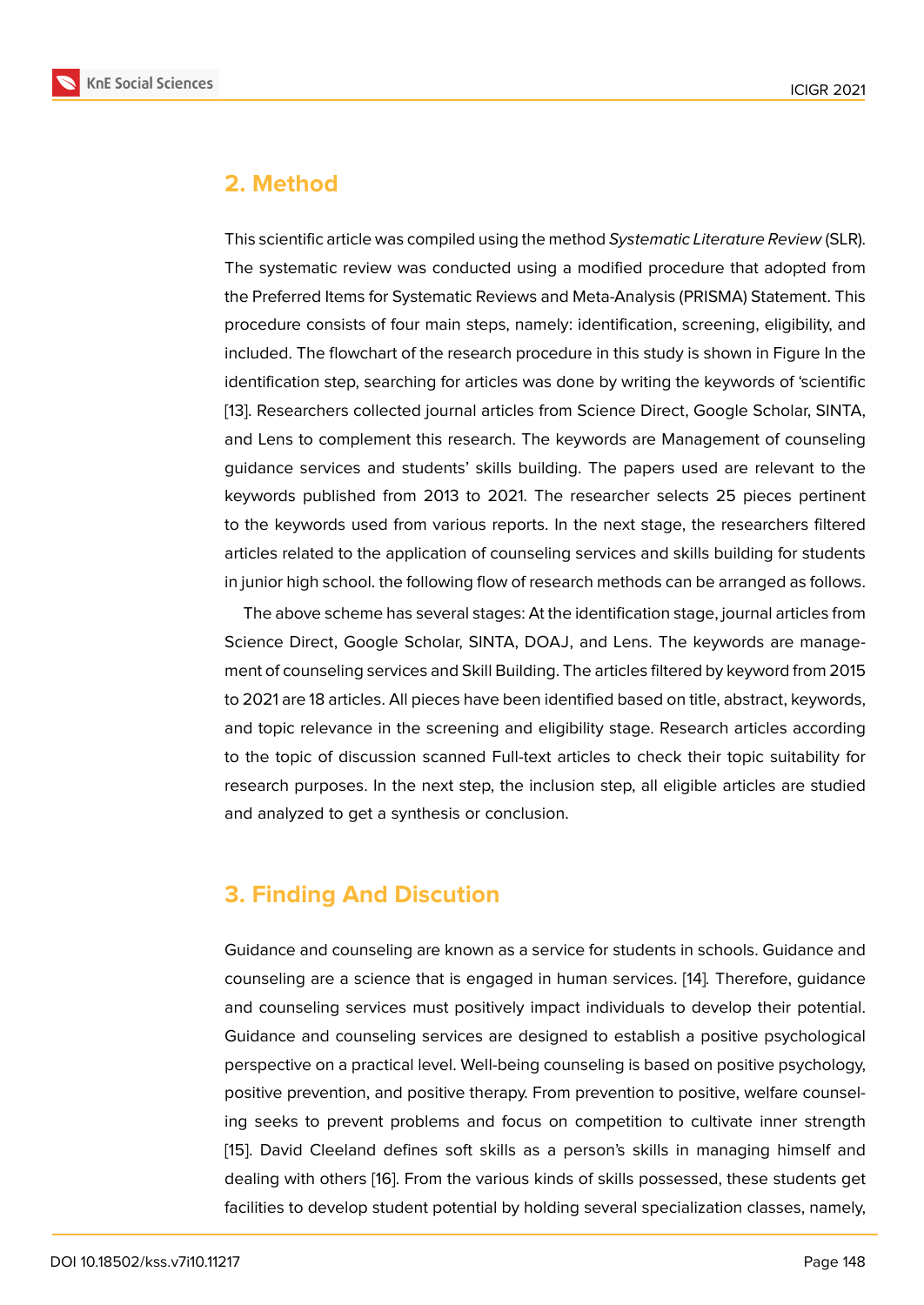### **2. Method**

This scientific article was compiled using the method *Systematic Literature Review* (SLR). The systematic review was conducted using a modified procedure that adopted from the Preferred Items for Systematic Reviews and Meta-Analysis (PRISMA) Statement. This procedure consists of four main steps, namely: identification, screening, eligibility, and included. The flowchart of the research procedure in this study is shown in Figure In the identification step, searching for articles was done by writing the keywords of 'scientific [13]. Researchers collected journal articles from Science Direct, Google Scholar, SINTA, and Lens to complement this research. The keywords are Management of counseling guidance services and students' skills building. The papers used are relevant to the [key](#page-8-7)words published from 2013 to 2021. The researcher selects 25 pieces pertinent to the keywords used from various reports. In the next stage, the researchers filtered articles related to the application of counseling services and skills building for students in junior high school. the following flow of research methods can be arranged as follows.

The above scheme has several stages: At the identification stage, journal articles from Science Direct, Google Scholar, SINTA, DOAJ, and Lens. The keywords are management of counseling services and Skill Building. The articles filtered by keyword from 2015 to 2021 are 18 articles. All pieces have been identified based on title, abstract, keywords, and topic relevance in the screening and eligibility stage. Research articles according to the topic of discussion scanned Full-text articles to check their topic suitability for research purposes. In the next step, the inclusion step, all eligible articles are studied and analyzed to get a synthesis or conclusion.

## **3. Finding And Discution**

Guidance and counseling are known as a service for students in schools. Guidance and counseling are a science that is engaged in human services. [14]*.* Therefore, guidance and counseling services must positively impact individuals to develop their potential. Guidance and counseling services are designed to establish a positive psychological perspective on a practical level. Well-being counseling is base[d o](#page-8-8)n positive psychology, positive prevention, and positive therapy. From prevention to positive, welfare counseling seeks to prevent problems and focus on competition to cultivate inner strength [15]. David Cleeland defines soft skills as a person's skills in managing himself and dealing with others [16]. From the various kinds of skills possessed, these students get facilities to develop student potential by holding several specialization classes, namely,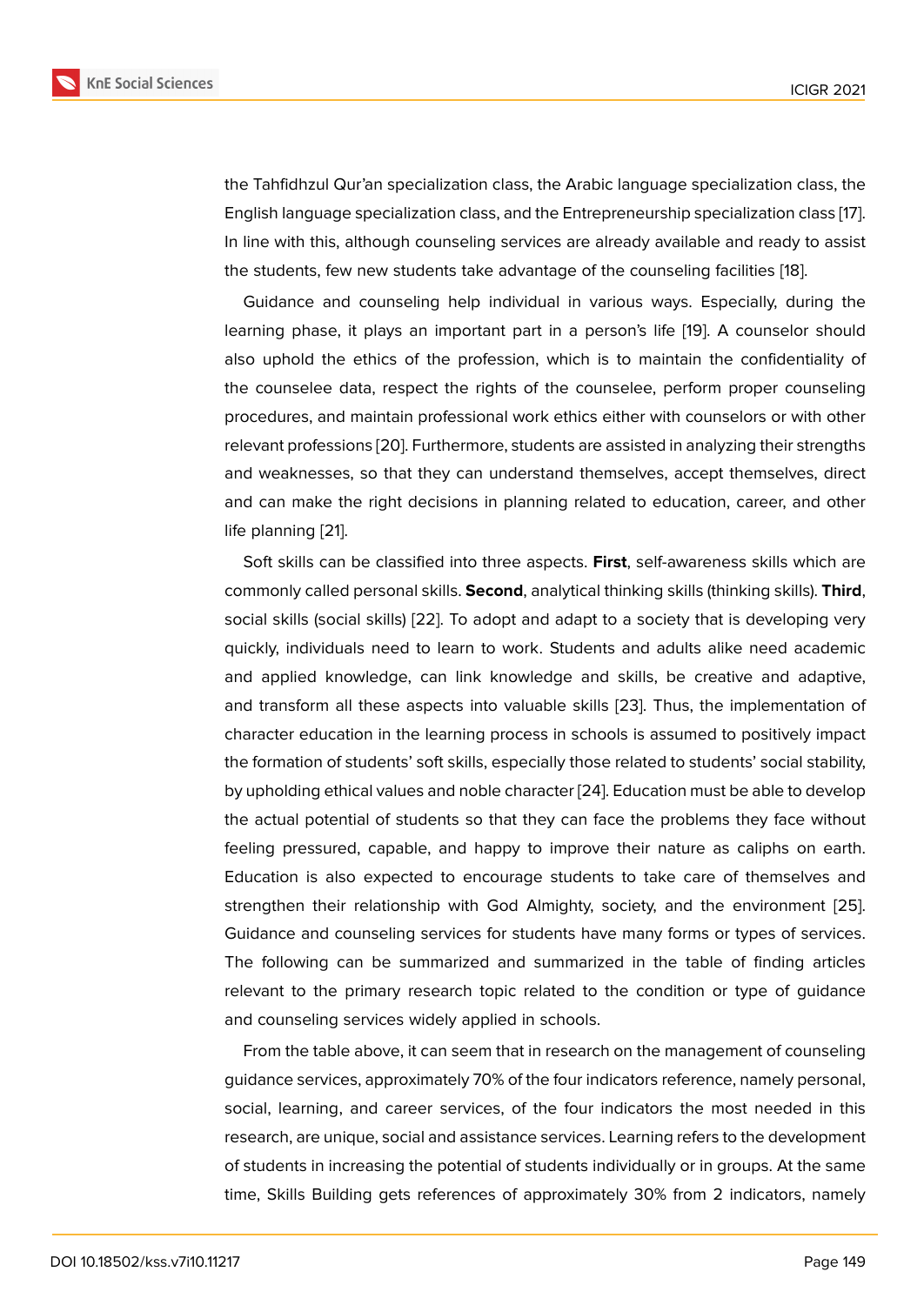the Tahfidhzul Qur'an specialization class, the Arabic language specialization class, the English language specialization class, and the Entrepreneurship specialization class [17]. In line with this, although counseling services are already available and ready to assist the students, few new students take advantage of the counseling facilities [18].

Guidance and counseling help individual in various ways. Especially, during [the](#page-9-0) learning phase, it plays an important part in a person's life [19]. A counselor should also uphold the ethics of the profession, which is to maintain the confi[den](#page-9-1)tiality of the counselee data, respect the rights of the counselee, perform proper counseling procedures, and maintain professional work ethics either with [co](#page-9-2)unselors or with other relevant professions [20]. Furthermore, students are assisted in analyzing their strengths and weaknesses, so that they can understand themselves, accept themselves, direct and can make the right decisions in planning related to education, career, and other life planning [21].

Soft skills can be classified into three aspects. **First**, self-awareness skills which are commonly called personal skills. **Second**, analytical thinking skills (thinking skills). **Third**, social skills ([soc](#page-9-3)ial skills) [22]. To adopt and adapt to a society that is developing very quickly, individuals need to learn to work. Students and adults alike need academic and applied knowledge, can link knowledge and skills, be creative and adaptive, and transform all these a[spe](#page-9-4)cts into valuable skills [23]. Thus, the implementation of character education in the learning process in schools is assumed to positively impact the formation of students' soft skills, especially those related to students' social stability, by upholding ethical values and noble character [24]. [Edu](#page-9-5)cation must be able to develop the actual potential of students so that they can face the problems they face without feeling pressured, capable, and happy to improve their nature as caliphs on earth. Education is also expected to encourage stu[dent](#page-9-6)s to take care of themselves and strengthen their relationship with God Almighty, society, and the environment [25]. Guidance and counseling services for students have many forms or types of services. The following can be summarized and summarized in the table of finding articles relevant to the primary research topic related to the condition or type of guid[ance](#page-9-7) and counseling services widely applied in schools.

From the table above, it can seem that in research on the management of counseling guidance services, approximately 70% of the four indicators reference, namely personal, social, learning, and career services, of the four indicators the most needed in this research, are unique, social and assistance services. Learning refers to the development of students in increasing the potential of students individually or in groups. At the same time, Skills Building gets references of approximately 30% from 2 indicators, namely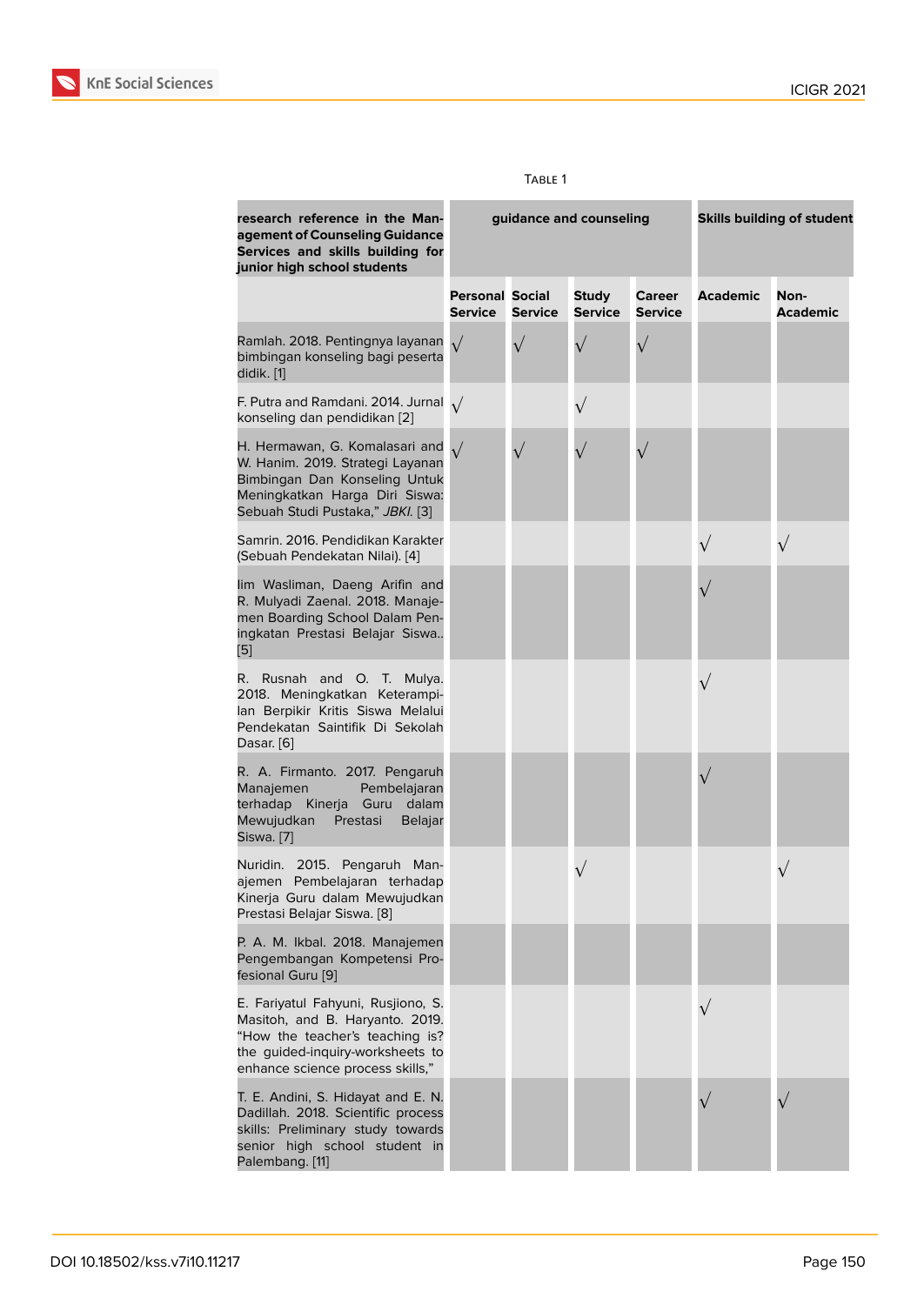| research reference in the Man-<br>agement of Counseling Guidance<br>Services and skills building for<br>junior high school students                                              |                                          | guidance and counseling | <b>Skills building of student</b> |                          |                 |                         |
|----------------------------------------------------------------------------------------------------------------------------------------------------------------------------------|------------------------------------------|-------------------------|-----------------------------------|--------------------------|-----------------|-------------------------|
|                                                                                                                                                                                  | <b>Personal Social</b><br><b>Service</b> | <b>Service</b>          | <b>Study</b><br><b>Service</b>    | Career<br><b>Service</b> | <b>Academic</b> | Non-<br><b>Academic</b> |
| Ramlah. 2018. Pentingnya layanan<br>bimbingan konseling bagi peserta<br>didik. [1]                                                                                               | $\sqrt{}$                                | $\sqrt{}$               | $\sqrt{}$                         | $\sqrt{}$                |                 |                         |
| F. Putra and Ramdani. 2014. Jurnal $\sqrt{}$<br>konseling dan pendidikan [2]                                                                                                     |                                          |                         | $\sqrt{}$                         |                          |                 |                         |
| H. Hermawan, G. Komalasari and<br>W. Hanim. 2019. Strategi Layanan<br>Bimbingan Dan Konseling Untuk<br>Meningkatkan Harga Diri Siswa:<br>Sebuah Studi Pustaka," JBKI. [3]        |                                          |                         |                                   |                          |                 |                         |
| Samrin, 2016. Pendidikan Karakter<br>(Sebuah Pendekatan Nilai). [4]                                                                                                              |                                          |                         |                                   |                          |                 |                         |
| lim Wasliman, Daeng Arifin and<br>R. Mulyadi Zaenal. 2018. Manaje-<br>men Boarding School Dalam Pen-<br>ingkatan Prestasi Belajar Siswa<br>$\left[ 5\right]$                     |                                          |                         |                                   |                          |                 |                         |
| R. Rusnah and O. T. Mulya.<br>2018. Meningkatkan Keterampi-<br>lan Berpikir Kritis Siswa Melalui<br>Pendekatan Saintifik Di Sekolah<br>Dasar. [6]                                |                                          |                         |                                   |                          | $\sqrt{}$       |                         |
| R. A. Firmanto. 2017. Pengaruh<br>Manajemen<br>Pembelajaran<br>terhadap Kinerja Guru dalam<br>Mewujudkan<br>Prestasi<br><b>Belajar</b><br>Siswa. [7]                             |                                          |                         |                                   |                          |                 |                         |
| Nuridin. 2015. Pengaruh Man-<br>ajemen Pembelajaran terhadap<br>Kinerja Guru dalam Mewujudkan<br>Prestasi Belajar Siswa. [8]                                                     |                                          |                         | $\sqrt{}$                         |                          |                 |                         |
| P. A. M. Ikbal. 2018. Manajemen<br>Pengembangan Kompetensi Pro-<br>fesional Guru [9]                                                                                             |                                          |                         |                                   |                          |                 |                         |
| E. Fariyatul Fahyuni, Rusjiono, S.<br>Masitoh, and B. Haryanto. 2019.<br>"How the teacher's teaching is?<br>the guided-inquiry-worksheets to<br>enhance science process skills," |                                          |                         |                                   |                          | $\sqrt{ }$      |                         |
| T. E. Andini, S. Hidayat and E. N.<br>Dadillah. 2018. Scientific process<br>skills: Preliminary study towards<br>senior high school student in<br>Palembang. [11]                |                                          |                         |                                   |                          |                 |                         |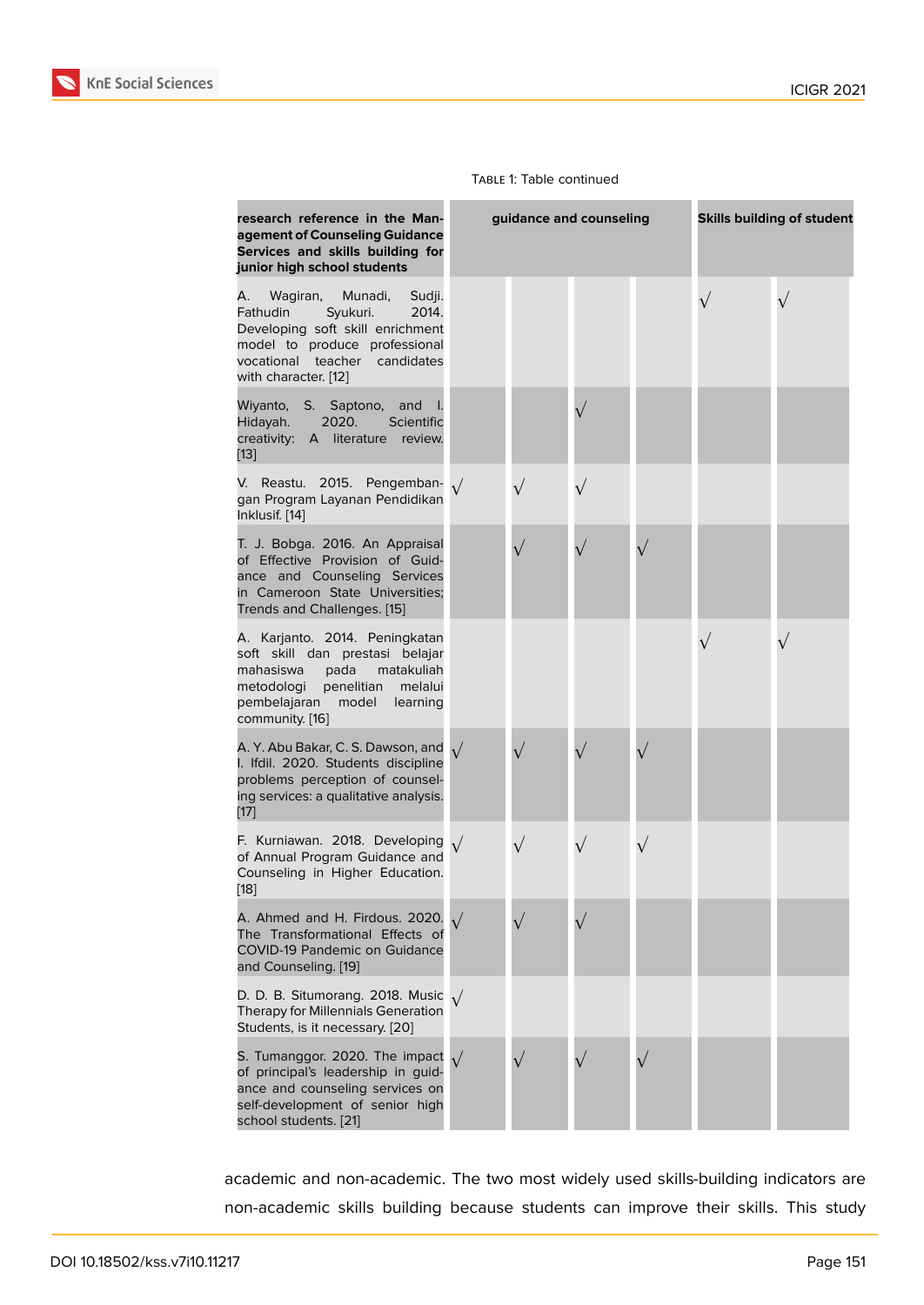#### Table 1: Table continued

| research reference in the Man-<br>agement of Counseling Guidance<br>Services and skills building for<br>junior high school students                                                                   | guidance and counseling |           |  | <b>Skills building of student</b> |           |           |
|-------------------------------------------------------------------------------------------------------------------------------------------------------------------------------------------------------|-------------------------|-----------|--|-----------------------------------|-----------|-----------|
| Munadi,<br>Sudji.<br>Wagiran,<br>А.<br>Syukuri.<br>2014.<br>Fathudin<br>Developing soft skill enrichment<br>model to produce professional<br>vocational<br>teacher candidates<br>with character. [12] |                         |           |  |                                   | $\sqrt{}$ | $\sqrt{}$ |
| Wiyanto,<br>S. Saptono, and<br>- 1.<br>Hidayah.<br>2020.<br>Scientific<br>creativity: A literature<br>review.<br>$[13]$                                                                               |                         |           |  |                                   |           |           |
| 2015.<br>V. Reastu.<br>Pengemban-<br>gan Program Layanan Pendidikan<br>Inklusif. [14]                                                                                                                 |                         | $\sqrt{}$ |  |                                   |           |           |
| T. J. Bobga. 2016. An Appraisal<br>of Effective Provision of Guid-<br>ance and Counseling Services<br>in Cameroon State Universities;<br>Trends and Challenges. [15]                                  |                         | $\sqrt{}$ |  |                                   |           |           |
| A. Karjanto. 2014. Peningkatan<br>soft skill dan prestasi belajar<br>mahasiswa<br>matakuliah<br>pada<br>metodologi<br>penelitian<br>melalui<br>pembelajaran<br>model<br>learning<br>community. [16]   |                         |           |  |                                   | $\sqrt{}$ |           |
| A. Y. Abu Bakar, C. S. Dawson, and<br>I. Ifdil. 2020. Students discipline<br>problems perception of counsel-<br>ing services: a qualitative analysis.<br>$[17]$                                       |                         | $\sqrt{}$ |  |                                   |           |           |
| F. Kurniawan. 2018. Developing<br>of Annual Program Guidance and<br>Counseling in Higher Education.<br>$[18]$                                                                                         |                         | $\sqrt{}$ |  |                                   |           |           |
| A. Ahmed and H. Firdous. 2020. $\sqrt{ }$<br>The Transformational Effects of<br><b>COVID-19 Pandemic on Guidance</b><br>and Counseling. [19]                                                          |                         |           |  |                                   |           |           |
| D. D. B. Situmorang. 2018. Music<br>Therapy for Millennials Generation<br>Students, is it necessary. [20]                                                                                             |                         |           |  |                                   |           |           |
| S. Tumanggor. 2020. The impact $\sqrt{}$<br>of principal's leadership in guid-<br>ance and counseling services on<br>self-development of senior high<br>school students. [21]                         |                         |           |  |                                   |           |           |

academic and non-academic. The two most widely used skills-building indicators are non-academic [ski](#page-9-3)lls building because students can improve their skills. This study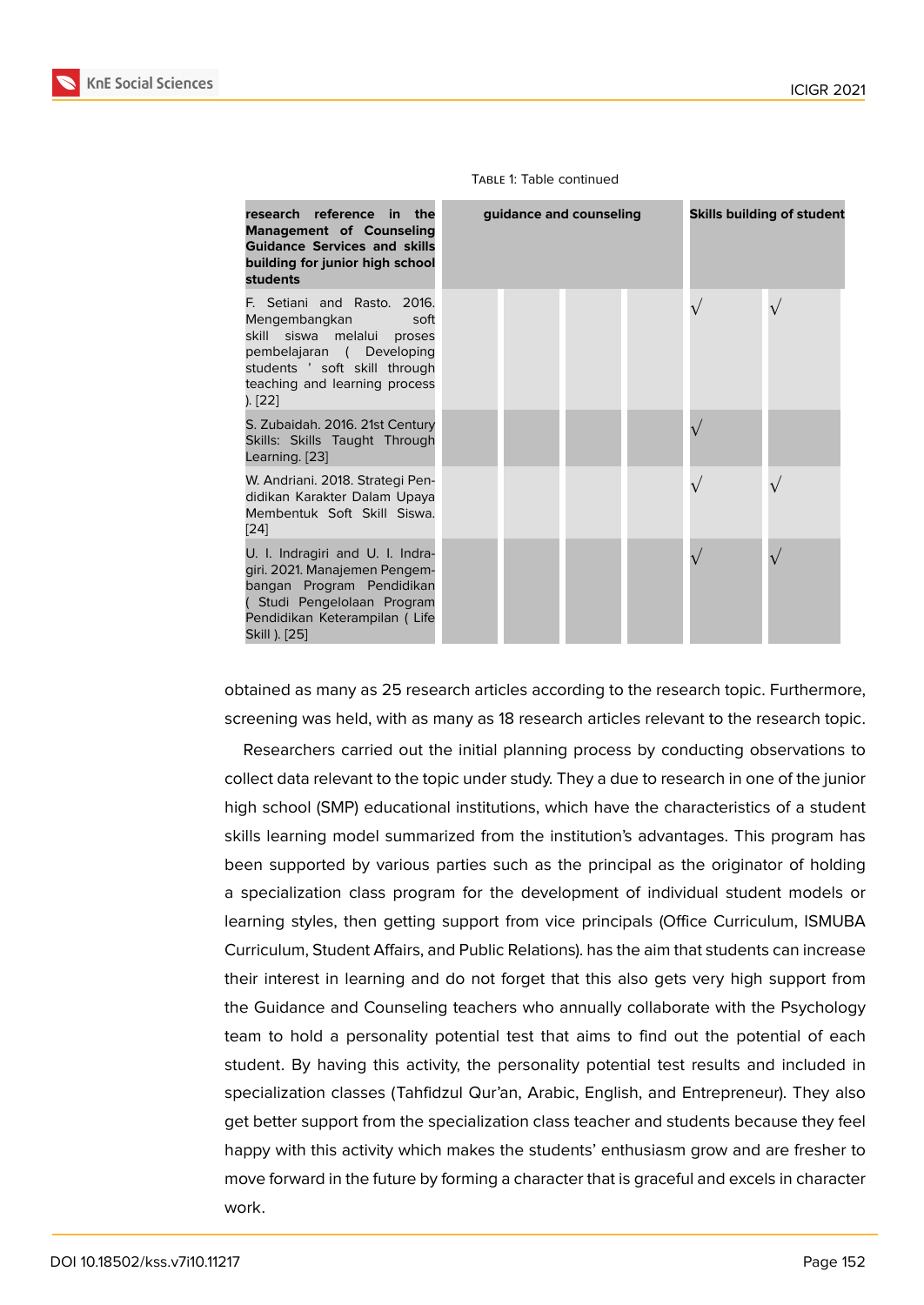#### Table 1: Table continued



obtained as many as 25 research articles according to the research topic. Furthermore, screenin[g w](#page-9-7)as held, with as many as 18 research articles relevant to the research topic.

Researchers carried out the initial planning process by conducting observations to collect data relevant to the topic under study. They a due to research in one of the junior high school (SMP) educational institutions, which have the characteristics of a student skills learning model summarized from the institution's advantages. This program has been supported by various parties such as the principal as the originator of holding a specialization class program for the development of individual student models or learning styles, then getting support from vice principals (Office Curriculum, ISMUBA Curriculum, Student Affairs, and Public Relations). has the aim that students can increase their interest in learning and do not forget that this also gets very high support from the Guidance and Counseling teachers who annually collaborate with the Psychology team to hold a personality potential test that aims to find out the potential of each student. By having this activity, the personality potential test results and included in specialization classes (Tahfidzul Qur'an, Arabic, English, and Entrepreneur). They also get better support from the specialization class teacher and students because they feel happy with this activity which makes the students' enthusiasm grow and are fresher to move forward in the future by forming a character that is graceful and excels in character work.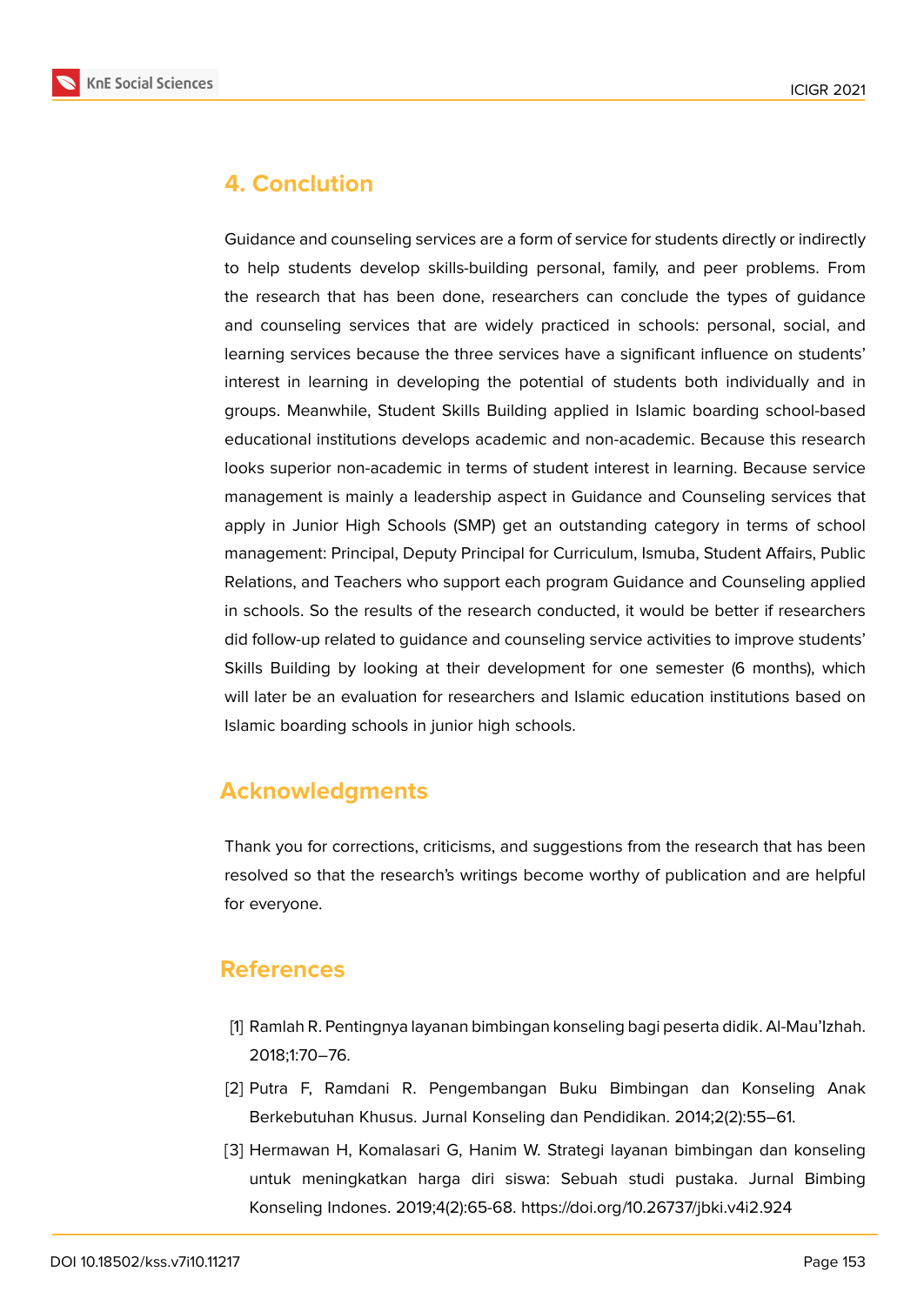

### **4. Conclution**

Guidance and counseling services are a form of service for students directly or indirectly to help students develop skills-building personal, family, and peer problems. From the research that has been done, researchers can conclude the types of guidance and counseling services that are widely practiced in schools: personal, social, and learning services because the three services have a significant influence on students' interest in learning in developing the potential of students both individually and in groups. Meanwhile, Student Skills Building applied in Islamic boarding school-based educational institutions develops academic and non-academic. Because this research looks superior non-academic in terms of student interest in learning. Because service management is mainly a leadership aspect in Guidance and Counseling services that apply in Junior High Schools (SMP) get an outstanding category in terms of school management: Principal, Deputy Principal for Curriculum, Ismuba, Student Affairs, Public Relations, and Teachers who support each program Guidance and Counseling applied in schools. So the results of the research conducted, it would be better if researchers did follow-up related to guidance and counseling service activities to improve students' Skills Building by looking at their development for one semester (6 months), which will later be an evaluation for researchers and Islamic education institutions based on Islamic boarding schools in junior high schools.

### **Acknowledgments**

Thank you for corrections, criticisms, and suggestions from the research that has been resolved so that the research's writings become worthy of publication and are helpful for everyone.

### **References**

- <span id="page-7-0"></span>[1] Ramlah R. Pentingnya layanan bimbingan konseling bagi peserta didik. Al-Mau'Izhah. 2018;1:70–76.
- <span id="page-7-1"></span>[2] Putra F, Ramdani R. Pengembangan Buku Bimbingan dan Konseling Anak Berkebutuhan Khusus. Jurnal Konseling dan Pendidikan. 2014;2(2):55–61.
- <span id="page-7-2"></span>[3] Hermawan H, Komalasari G, Hanim W. Strategi layanan bimbingan dan konseling untuk meningkatkan harga diri siswa: Sebuah studi pustaka. Jurnal Bimbing Konseling Indones. 2019;4(2):65-68. https://doi.org/10.26737/jbki.v4i2.924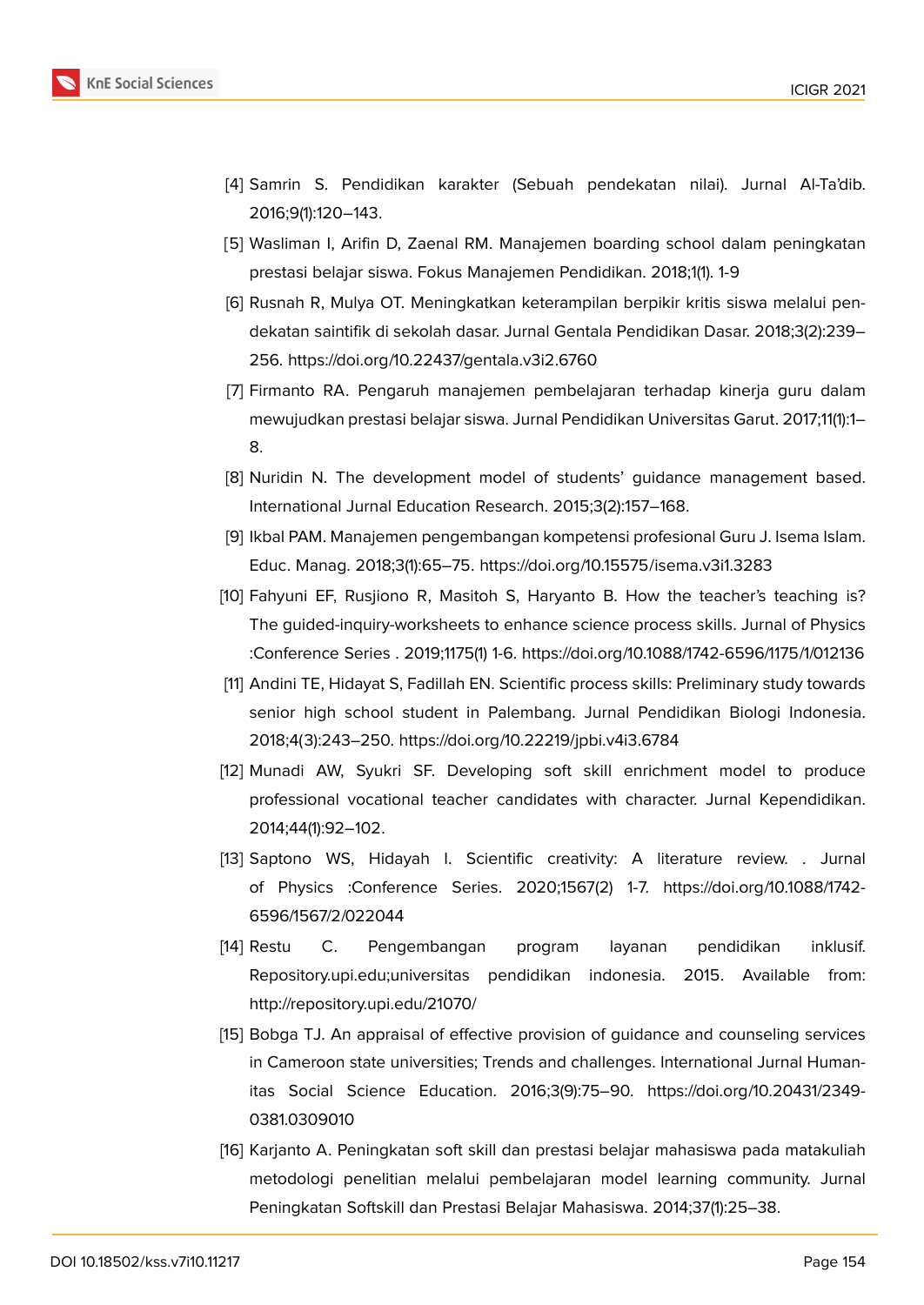

- <span id="page-8-0"></span>[4] Samrin S. Pendidikan karakter (Sebuah pendekatan nilai). Jurnal Al-Ta'dib. 2016;9(1):120–143.
- <span id="page-8-1"></span>[5] Wasliman I, Arifin D, Zaenal RM. Manajemen boarding school dalam peningkatan prestasi belajar siswa. Fokus Manajemen Pendidikan. 2018;1(1). 1-9
- <span id="page-8-2"></span>[6] Rusnah R, Mulya OT. Meningkatkan keterampilan berpikir kritis siswa melalui pendekatan saintifik di sekolah dasar. Jurnal Gentala Pendidikan Dasar. 2018;3(2):239– 256. https://doi.org/10.22437/gentala.v3i2.6760
- <span id="page-8-3"></span>[7] Firmanto RA. Pengaruh manajemen pembelajaran terhadap kinerja guru dalam mewujudkan prestasi belajar siswa. Jurnal Pendidikan Universitas Garut. 2017;11(1):1– 8.
- <span id="page-8-4"></span>[8] Nuridin N. The development model of students' guidance management based. International Jurnal Education Research. 2015;3(2):157–168.
- <span id="page-8-5"></span>[9] Ikbal PAM. Manajemen pengembangan kompetensi profesional Guru J. Isema Islam. Educ. Manag. 2018;3(1):65–75. https://doi.org/10.15575/isema.v3i1.3283
- <span id="page-8-6"></span>[10] Fahyuni EF, Rusjiono R, Masitoh S, Haryanto B. How the teacher's teaching is? The guided-inquiry-worksheets to enhance science process skills. Jurnal of Physics :Conference Series . 2019;1175(1) 1-6. https://doi.org/10.1088/1742-6596/1175/1/012136
- [11] Andini TE, Hidayat S, Fadillah EN. Scientific process skills: Preliminary study towards senior high school student in Palembang. Jurnal Pendidikan Biologi Indonesia. 2018;4(3):243–250. https://doi.org/10.22219/jpbi.v4i3.6784
- [12] Munadi AW, Syukri SF. Developing soft skill enrichment model to produce professional vocational teacher candidates with character. Jurnal Kependidikan. 2014;44(1):92–102.
- <span id="page-8-7"></span>[13] Saptono WS, Hidayah I. Scientific creativity: A literature review. . Jurnal of Physics :Conference Series. 2020;1567(2) 1-7. https://doi.org/10.1088/1742- 6596/1567/2/022044
- <span id="page-8-8"></span>[14] Restu C. Pengembangan program layanan pendidikan inklusif. Repository.upi.edu;universitas pendidikan indonesia. 2015. Available from: http://repository.upi.edu/21070/
- <span id="page-8-9"></span>[15] Bobga TJ. An appraisal of effective provision of guidance and counseling services in Cameroon state universities; Trends and challenges. International Jurnal Humanitas Social Science Education. 2016;3(9):75–90. https://doi.org/10.20431/2349- 0381.0309010
- <span id="page-8-10"></span>[16] Karjanto A. Peningkatan soft skill dan prestasi belajar mahasiswa pada matakuliah metodologi penelitian melalui pembelajaran model learning community. Jurnal Peningkatan Softskill dan Prestasi Belajar Mahasiswa. 2014;37(1):25–38.